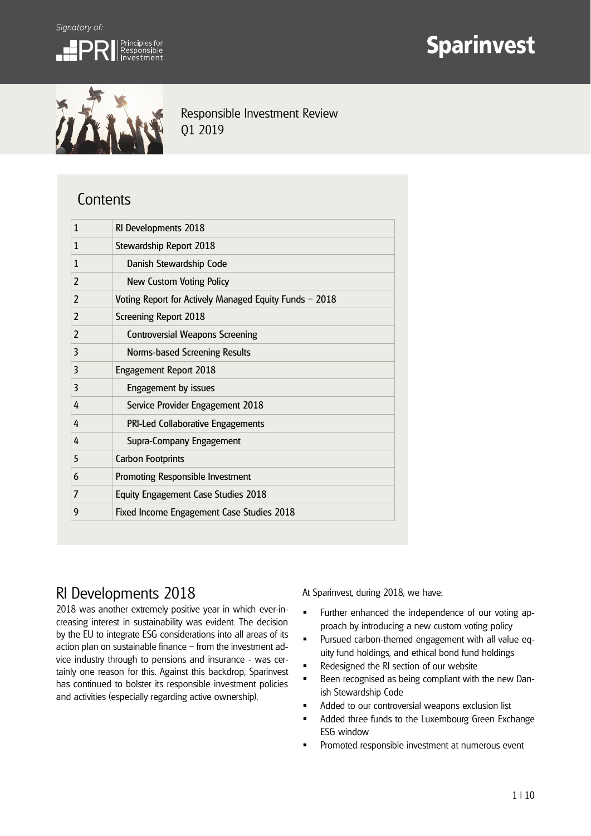

# **Sparinvest**



Responsible Investment Review Q1 2019

## **Contents**

| 1              | RI Developments 2018                                   |
|----------------|--------------------------------------------------------|
| 1              | Stewardship Report 2018                                |
| 1              | Danish Stewardship Code                                |
| $\overline{2}$ | <b>New Custom Voting Policy</b>                        |
| 2              | Voting Report for Actively Managed Equity Funds - 2018 |
| 2              | <b>Screening Report 2018</b>                           |
| 2              | <b>Controversial Weapons Screening</b>                 |
| 3              | Norms-based Screening Results                          |
| 3              | Engagement Report 2018                                 |
| 3              | Engagement by issues                                   |
| 4              | Service Provider Engagement 2018                       |
| 4              | PRI-Led Collaborative Engagements                      |
| 4              | Supra-Company Engagement                               |
| 5              | <b>Carbon Footprints</b>                               |
| 6              | Promoting Responsible Investment                       |
| 7              | <b>Equity Engagement Case Studies 2018</b>             |
| 9              | Fixed Income Engagement Case Studies 2018              |

## RI Developments 2018

2018 was another extremely positive year in which ever-increasing interest in sustainability was evident. The decision by the EU to integrate ESG considerations into all areas of its action plan on sustainable finance – from the investment advice industry through to pensions and insurance - was certainly one reason for this. Against this backdrop, Sparinvest has continued to bolster its responsible investment policies and activities (especially regarding active ownership).

At Sparinvest, during 2018, we have:

- **Further enhanced the independence of our voting ap**proach by introducing a new custom voting policy
- Pursued carbon-themed engagement with all value equity fund holdings, and ethical bond fund holdings
- **Redesigned the RI section of our website**
- Been recognised as being compliant with the new Danish Stewardship Code
- **Added to our controversial weapons exclusion list**
- Added three funds to the Luxembourg Green Exchange ESG window
- Promoted responsible investment at numerous event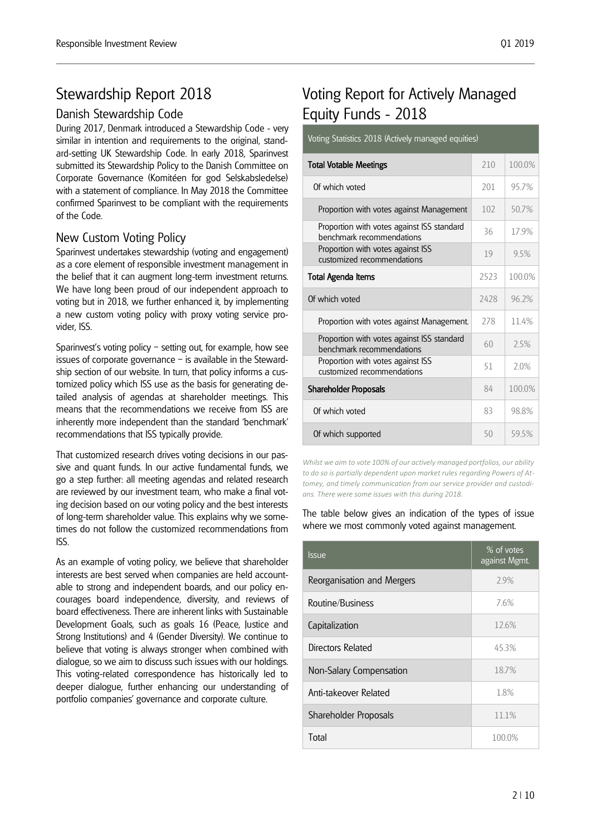## Stewardship Report 2018

## Danish Stewardship Code

During 2017, Denmark introduced a Stewardship Code - very similar in intention and requirements to the original, standard-setting UK Stewardship Code. In early 2018, Sparinvest submitted its Stewardship Policy to the Danish Committee on Corporate Governance (Komitéen for god Selskabsledelse) with a statement of compliance. In May 2018 the Committee confirmed Sparinvest to be compliant with the requirements of the Code.

## New Custom Voting Policy

Sparinvest undertakes stewardship (voting and engagement) as a core element of responsible investment management in the belief that it can augment long-term investment returns. We have long been proud of our independent approach to voting but in 2018, we further enhanced it, by implementing a new custom voting policy with proxy voting service provider, ISS.

Sparinvest's voting policy – setting out, for example, how see issues of corporate governance – is available in the Stewardship section of our website. In turn, that policy informs a customized policy which ISS use as the basis for generating detailed analysis of agendas at shareholder meetings. This means that the recommendations we receive from ISS are inherently more independent than the standard 'benchmark' recommendations that ISS typically provide.

That customized research drives voting decisions in our passive and quant funds. In our active fundamental funds, we go a step further: all meeting agendas and related research are reviewed by our investment team, who make a final voting decision based on our voting policy and the best interests of long-term shareholder value. This explains why we sometimes do not follow the customized recommendations from ISS.

As an example of voting policy, we believe that shareholder interests are best served when companies are held accountable to strong and independent boards, and our policy encourages board independence, diversity, and reviews of board effectiveness. There are inherent links with Sustainable Development Goals, such as goals 16 (Peace, Justice and Strong Institutions) and 4 (Gender Diversity). We continue to believe that voting is always stronger when combined with dialogue, so we aim to discuss such issues with our holdings. This voting-related correspondence has historically led to deeper dialogue, further enhancing our understanding of portfolio companies' governance and corporate culture.

## Voting Report for Actively Managed Equity Funds - 2018

#### Voting Statistics 2018 (Actively managed equities)

| <b>Total Votable Meetings</b>                                           | 210  | 100.0% |
|-------------------------------------------------------------------------|------|--------|
| Of which voted                                                          | 201  | 957%   |
| Proportion with votes against Management                                | 102  | 507%   |
| Proportion with votes against ISS standard<br>benchmark recommendations | 36   | 179%   |
| Proportion with votes against ISS<br>customized recommendations         | 19   | 95%    |
| <b>Total Agenda Items</b>                                               | 2523 | 100.0% |
| Of which voted                                                          | 2428 | 96.2%  |
| Proportion with votes against Management.                               | 278  | 11.4%  |
| Proportion with votes against ISS standard<br>benchmark recommendations | 60   | 75%    |
| Proportion with votes against ISS<br>customized recommendations         | 51   | 20%    |
| Shareholder Proposals                                                   | 84   | 100.0% |
| Of which voted                                                          | 83   | 988%   |
| Of which supported                                                      | 50   | 595%   |

*Whilst we aim to vote 100% of our actively managed portfolios, our ability to do so is partially dependent upon market rules regarding Powers of Attomey, and timely communication from our service provider and custodians. There were some issues with this during 2018.* 

The table below gives an indication of the types of issue where we most commonly voted against management.

| Issue                      | % of votes<br>against Mgmt. |  |
|----------------------------|-----------------------------|--|
| Reorganisation and Mergers | 2.9%                        |  |
| Routine/Business           | 76%                         |  |
| Capitalization             | 12.6%                       |  |
| Directors Related          | 45.3%                       |  |
| Non-Salary Compensation    | 18.7%                       |  |
| Anti-takeover Related      | 1.8%                        |  |
| Shareholder Proposals      | 11.1%                       |  |
| Total                      | 100.0%                      |  |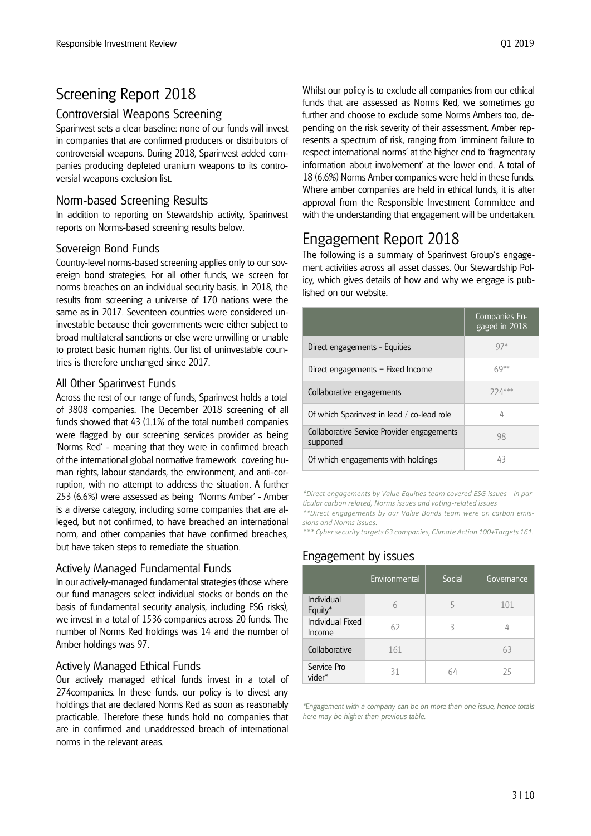## Screening Report 2018

## Controversial Weapons Screening

Sparinvest sets a clear baseline: none of our funds will invest in companies that are confirmed producers or distributors of controversial weapons. During 2018, Sparinvest added companies producing depleted uranium weapons to its controversial weapons exclusion list.

#### Norm-based Screening Results

In addition to reporting on Stewardship activity, Sparinvest reports on Norms-based screening results below.

#### Sovereign Bond Funds

Country-level norms-based screening applies only to our sovereign bond strategies. For all other funds, we screen for norms breaches on an individual security basis. In 2018, the results from screening a universe of 170 nations were the same as in 2017. Seventeen countries were considered uninvestable because their governments were either subject to broad multilateral sanctions or else were unwilling or unable to protect basic human rights. Our list of uninvestable countries is therefore unchanged since 2017.

#### All Other Sparinvest Funds

Across the rest of our range of funds, Sparinvest holds a total of 3808 companies. The December 2018 screening of all funds showed that 43 (1.1% of the total number) companies were flagged by our screening services provider as being 'Norms Red' - meaning that they were in confirmed breach of the international global normative framework covering human rights, labour standards, the environment, and anti-corruption, with no attempt to address the situation. A further 253 (6.6%) were assessed as being 'Norms Amber' - Amber is a diverse category, including some companies that are alleged, but not confirmed, to have breached an international norm, and other companies that have confirmed breaches, but have taken steps to remediate the situation.

#### Actively Managed Fundamental Funds

In our actively-managed fundamental strategies (those where our fund managers select individual stocks or bonds on the basis of fundamental security analysis, including ESG risks), we invest in a total of 1536 companies across 20 funds. The number of Norms Red holdings was 14 and the number of Amber holdings was 97.

#### Actively Managed Ethical Funds

Our actively managed ethical funds invest in a total of 274companies. In these funds, our policy is to divest any holdings that are declared Norms Red as soon as reasonably practicable. Therefore these funds hold no companies that are in confirmed and unaddressed breach of international norms in the relevant areas.

Whilst our policy is to exclude all companies from our ethical funds that are assessed as Norms Red, we sometimes go further and choose to exclude some Norms Ambers too, depending on the risk severity of their assessment. Amber represents a spectrum of risk, ranging from 'imminent failure to respect international norms' at the higher end to 'fragmentary information about involvement' at the lower end. A total of 18 (6.6%) Norms Amber companies were held in these funds. Where amber companies are held in ethical funds, it is after approval from the Responsible Investment Committee and with the understanding that engagement will be undertaken.

## Engagement Report 2018

The following is a summary of Sparinvest Group's engagement activities across all asset classes. Our Stewardship Policy, which gives details of how and why we engage is published on our website.

|                                                         | Companies En-<br>gaged in 2018 |
|---------------------------------------------------------|--------------------------------|
| Direct engagements - Equities                           | 97*                            |
| Direct engagements - Fixed Income                       | $69***$                        |
| Collaborative engagements                               | 774***                         |
| Of which Sparinvest in lead / co-lead role              | 4                              |
| Collaborative Service Provider engagements<br>supported | 98                             |
| Of which engagements with holdings                      | 43                             |

*\*Direct engagements by Value Equities team covered ESG issues - in particular carbon related, Norms issues and voting-related issues* 

*\*\*Direct engagements by our Value Bonds team were on carbon emissions and Norms issues.*

*\*\*\* Cyber security targets 63 companies, Climate Action 100+Targets 161.*

### Engagement by issues

|                            | Environmental | Social | Governance |
|----------------------------|---------------|--------|------------|
| Individual<br>Equity*      |               |        | 101        |
| Individual Fixed<br>Income | 62            |        |            |
| Collaborative              | 161           |        | 63         |
| Service Pro<br>vider*      | 31            | 64     | 25         |

*\*Engagement with a company can be on more than one issue, hence totals here may be higher than previous table.*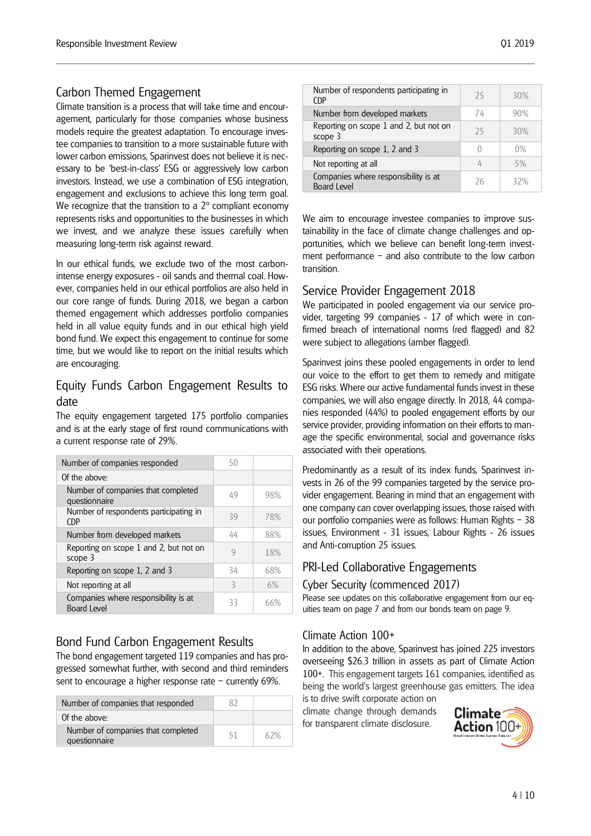## Carbon Themed Engagement

Climate transition is a process that will take time and encouragement, particularly for those companies whose business models require the greatest adaptation. To encourage investee companies to transition to a more sustainable future with lower carbon emissions, Sparinvest does not believe it is necessary to be 'best-in-class' ESG or aggressively low carbon investors. Instead, we use a combination of ESG integration, engagement and exclusions to achieve this long term goal. We recognize that the transition to a  $2^{\circ}$  compliant economy represents risks and opportunities to the businesses in which we invest, and we analyze these issues carefully when measuring long-term risk against reward.

In our ethical funds, we exclude two of the most carbonintense energy exposures - oil sands and thermal coal. However, companies held in our ethical portfolios are also held in our core range of funds. During 2018, we began a carbon themed engagement which addresses portfolio companies held in all value equity funds and in our ethical high yield bond fund. We expect this engagement to continue for some time, but we would like to report on the initial results which are encouraging.

### Equity Funds Carbon Engagement Results to date

The equity engagement targeted 175 portfolio companies and is at the early stage of first round communications with a current response rate of 29%.

| Number of companies responded                              | 50 |     |
|------------------------------------------------------------|----|-----|
| Of the above:                                              |    |     |
| Number of companies that completed<br>questionnaire        | 49 | 98% |
| Number of respondents participating in<br>CDP.             | 39 | 78% |
| Number from developed markets                              | 44 | 88% |
| Reporting on scope 1 and 2, but not on<br>scope 3          | g  | 18% |
| Reporting on scope 1, 2 and 3                              | 34 | 68% |
| Not reporting at all                                       | 3  | 6%  |
| Companies where responsibility is at<br><b>Board Level</b> | 33 | 66% |

## Bond Fund Carbon Engagement Results

The bond engagement targeted 119 companies and has progressed somewhat further, with second and third reminders sent to encourage a higher response rate – currently 69%.

| Number of companies that responded                  |    |     |
|-----------------------------------------------------|----|-----|
| Of the above:                                       |    |     |
| Number of companies that completed<br>questionnaire | 51 | 67% |

| Number of respondents participating in<br>CDP              | 25 | 30% |
|------------------------------------------------------------|----|-----|
| Number from developed markets                              | 74 | 90% |
| Reporting on scope 1 and 2, but not on<br>scope 3          | 25 | 30% |
| Reporting on scope 1, 2 and 3                              |    | 0%  |
| Not reporting at all                                       |    | 5%  |
| Companies where responsibility is at<br><b>Board Level</b> | 26 | 32% |

We aim to encourage investee companies to improve sustainability in the face of climate change challenges and opportunities, which we believe can benefit long-term investment performance – and also contribute to the low carbon transition.

## Service Provider Engagement 2018

We participated in pooled engagement via our service provider, targeting 99 companies - 17 of which were in confirmed breach of international norms (red flagged) and 82 were subject to allegations (amber flagged).

Sparinvest joins these pooled engagements in order to lend our voice to the effort to get them to remedy and mitigate ESG risks. Where our active fundamental funds invest in these companies, we will also engage directly. In 2018, 44 companies responded (44%) to pooled engagement efforts by our service provider, providing information on their efforts to manage the specific environmental, social and governance risks associated with their operations.

Predominantly as a result of its index funds, Sparinvest invests in 26 of the 99 companies targeted by the service provider engagement. Bearing in mind that an engagement with one company can cover overlapping issues, those raised with our portfolio companies were as follows: Human Rights – 38 issues, Environment - 31 issues, Labour Rights - 26 issues and Anti-corruption 25 issues.

### PRI-Led Collaborative Engagements

#### Cyber Security (commenced 2017)

Please see updates on this collaborative engagement from our equities team on page 7 and from our bonds team on page 9.

#### Climate Action 100+

In addition to the above, Sparinvest has joined 225 investors overseeing \$26.3 trillion in assets as part of Climate Action 100+. This engagement targets 161 companies, identified as being the world's largest greenhouse gas emitters. The idea

is to drive swift corporate action on climate change through demands for transparent climate disclosure.

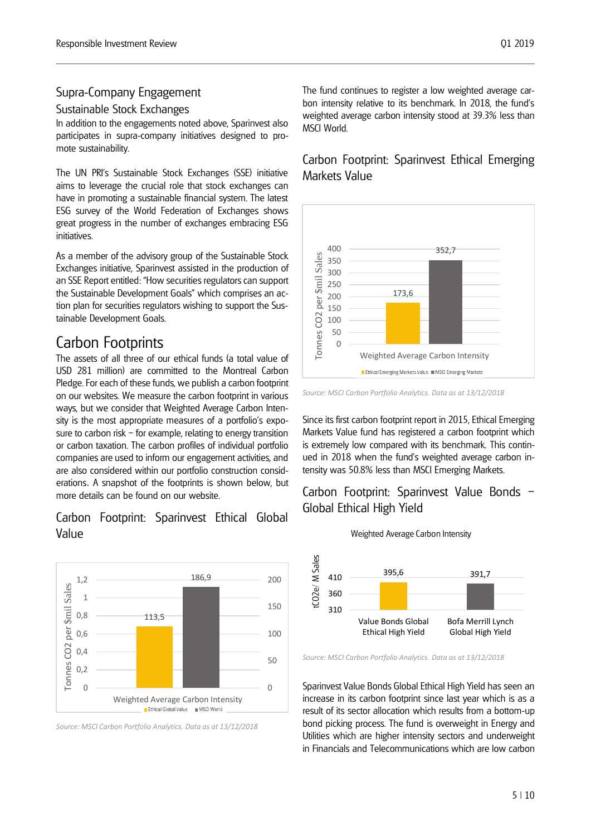#### Supra-Company Engagement

#### Sustainable Stock Exchanges

In addition to the engagements noted above, Sparinvest also participates in supra-company initiatives designed to promote sustainability.

The UN PRI's Sustainable Stock Exchanges (SSE) initiative aims to leverage the crucial role that stock exchanges can have in promoting a sustainable financial system. The latest ESG survey of the World Federation of Exchanges shows great progress in the number of exchanges embracing ESG initiatives.

As a member of the advisory group of the Sustainable Stock Exchanges initiative, Sparinvest assisted in the production of an SSE Report entitled: "How securities regulators can support the Sustainable Development Goals" which comprises an action plan for securities regulators wishing to support the Sustainable Development Goals.

## Carbon Footprints

The assets of all three of our ethical funds (a total value of USD 281 million) are committed to the Montreal Carbon Pledge. For each of these funds, we publish a carbon footprint on our websites. We measure the carbon footprint in various ways, but we consider that Weighted Average Carbon Intensity is the most appropriate measures of a portfolio's exposure to carbon risk – for example, relating to energy transition or carbon taxation. The carbon profiles of individual portfolio companies are used to inform our engagement activities, and are also considered within our portfolio construction considerations. A snapshot of the footprints is shown below, but more details can be found on our website.

#### Carbon Footprint: Sparinvest Ethical Global Value



*Source: MSCI Carbon Portfolio Analytics. Data as at 13/12/2018*

The fund continues to register a low weighted average carbon intensity relative to its benchmark. In 2018, the fund's weighted average carbon intensity stood at 39.3% less than MSCI World.

## Carbon Footprint: Sparinvest Ethical Emerging Markets Value



*Source: MSCI Carbon Portfolio Analytics. Data as at 13/12/2018*

Since its first carbon footprint report in 2015, Ethical Emerging Markets Value fund has registered a carbon footprint which is extremely low compared with its benchmark. This continued in 2018 when the fund's weighted average carbon intensity was 50.8% less than MSCI Emerging Markets.

## Carbon Footprint: Sparinvest Value Bonds – Global Ethical High Yield



Weighted Average Carbon Intensity

Sparinvest Value Bonds Global Ethical High Yield has seen an increase in its carbon footprint since last year which is as a result of its sector allocation which results from a bottom-up bond picking process. The fund is overweight in Energy and Utilities which are higher intensity sectors and underweight in Financials and Telecommunications which are low carbon

*Source: MSCI Carbon Portfolio Analytics. Data as at 13/12/2018*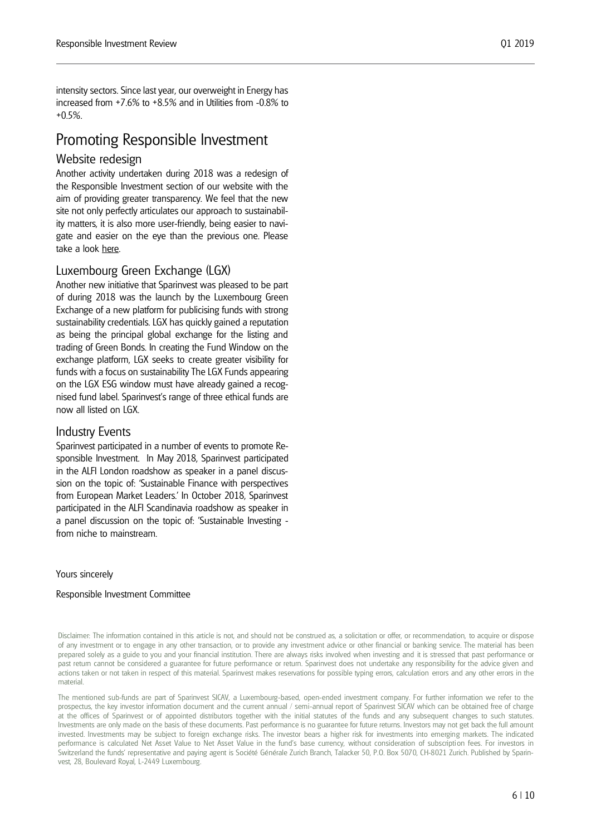intensity sectors. Since last year, our overweight in Energy has increased from +7.6% to +8.5% and in Utilities from -0.8% to +0.5%.

## Promoting Responsible Investment

#### Website redesign

Another activity undertaken during 2018 was a redesign of the Responsible Investment section of our website with the aim of providing greater transparency. We feel that the new site not only perfectly articulates our approach to sustainability matters, it is also more user-friendly, being easier to navigate and easier on the eye than the previous one. Please take a look [here.](http://www.sparinvest.lu/investing%20responsibly/overview.aspx) 

#### Luxembourg Green Exchange (LGX)

Another new initiative that Sparinvest was pleased to be part of during 2018 was the launch by the Luxembourg Green Exchange of a new platform for publicising funds with strong sustainability credentials. LGX has quickly gained a reputation as being the principal global exchange for the listing and trading of Green Bonds. In creating the Fund Window on the exchange platform, LGX seeks to create greater visibility for funds with a focus on sustainability The LGX Funds appearing on the LGX ESG window must have already gained a recognised fund label. Sparinvest's range of three ethical funds are now all listed on LGX.

#### Industry Events

Sparinvest participated in a number of events to promote Responsible Investment. In May 2018, Sparinvest participated in the ALFI London roadshow as speaker in a panel discussion on the topic of: 'Sustainable Finance with perspectives from European Market Leaders.' In October 2018, Sparinvest participated in the ALFI Scandinavia roadshow as speaker in a panel discussion on the topic of: 'Sustainable Investing from niche to mainstream.

#### Yours sincerely

#### Responsible Investment Committee

Disclaimer: The information contained in this article is not, and should not be construed as, a solicitation or offer, or recommendation, to acquire or dispose of any investment or to engage in any other transaction, or to provide any investment advice or other financial or banking service. The material has been prepared solely as a guide to you and your financial institution. There are always risks involved when investing and it is stressed that past performance or past return cannot be considered a guarantee for future performance or return. Sparinvest does not undertake any responsibility for the advice given and actions taken or not taken in respect of this material. Sparinvest makes reservations for possible typing errors, calculation errors and any other errors in the material.

The mentioned sub-funds are part of Sparinvest SICAV, a Luxembourg-based, open-ended investment company. For further information we refer to the prospectus, the key investor information document and the current annual / semi-annual report of Sparinvest SICAV which can be obtained free of charge at the offices of Sparinvest or of appointed distributors together with the initial statutes of the funds and any subsequent changes to such statutes. Investments are only made on the basis of these documents. Past performance is no guarantee for future returns. Investors may not get back the full amount invested. Investments may be subject to foreign exchange risks. The investor bears a higher risk for investments into emerging markets. The indicated performance is calculated Net Asset Value to Net Asset Value in the fund's base currency, without consideration of subscription fees. For investors in Switzerland the funds' representative and paying agent is Société Générale Zurich Branch, Talacker 50, P.O. Box 5070, CH-8021 Zurich. Published by Sparinvest, 28, Boulevard Royal, L-2449 Luxembourg.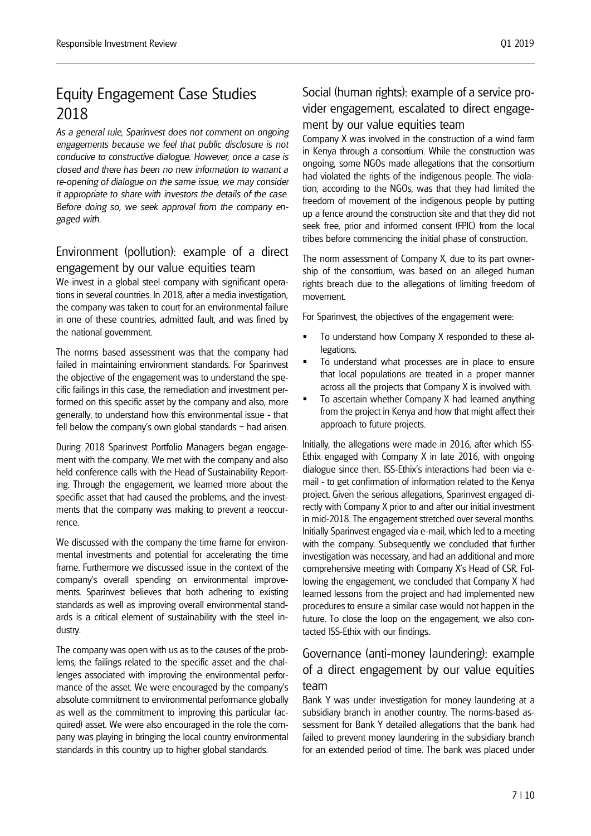## Equity Engagement Case Studies 2018

*As a general rule, Sparinvest does not comment on ongoing engagements because we feel that public disclosure is not conducive to constructive dialogue. However, once a case is closed and there has been no new information to warrant a re-opening of dialogue on the same issue, we may consider it appropriate to share with investors the details of the case. Before doing so, we seek approval from the company engaged with.*

## Environment (pollution): example of a direct engagement by our value equities team

We invest in a global steel company with significant operations in several countries. In 2018, after a media investigation, the company was taken to court for an environmental failure in one of these countries, admitted fault, and was fined by the national government.

The norms based assessment was that the company had failed in maintaining environment standards. For Sparinvest the objective of the engagement was to understand the specific failings in this case, the remediation and investment performed on this specific asset by the company and also, more generally, to understand how this environmental issue - that fell below the company's own global standards – had arisen.

During 2018 Sparinvest Portfolio Managers began engagement with the company. We met with the company and also held conference calls with the Head of Sustainability Reporting. Through the engagement, we learned more about the specific asset that had caused the problems, and the investments that the company was making to prevent a reoccurrence.

We discussed with the company the time frame for environmental investments and potential for accelerating the time frame. Furthermore we discussed issue in the context of the company's overall spending on environmental improvements. Sparinvest believes that both adhering to existing standards as well as improving overall environmental standards is a critical element of sustainability with the steel industry.

The company was open with us as to the causes of the problems, the failings related to the specific asset and the challenges associated with improving the environmental performance of the asset. We were encouraged by the company's absolute commitment to environmental performance globally as well as the commitment to improving this particular (acquired) asset. We were also encouraged in the role the company was playing in bringing the local country environmental standards in this country up to higher global standards.

## Social (human rights): example of a service provider engagement, escalated to direct engagement by our value equities team

Company X was involved in the construction of a wind farm in Kenya through a consortium. While the construction was ongoing, some NGOs made allegations that the consortium had violated the rights of the indigenous people. The violation, according to the NGOs, was that they had limited the freedom of movement of the indigenous people by putting up a fence around the construction site and that they did not seek free, prior and informed consent (FPIC) from the local tribes before commencing the initial phase of construction.

The norm assessment of Company X, due to its part ownership of the consortium, was based on an alleged human rights breach due to the allegations of limiting freedom of movement.

For Sparinvest, the objectives of the engagement were:

- To understand how Company X responded to these allegations.
- To understand what processes are in place to ensure that local populations are treated in a proper manner across all the projects that Company X is involved with.
- To ascertain whether Company X had learned anything from the project in Kenya and how that might affect their approach to future projects.

Initially, the allegations were made in 2016, after which ISS-Ethix engaged with Company X in late 2016, with ongoing dialogue since then. ISS-Ethix's interactions had been via email - to get confirmation of information related to the Kenya project. Given the serious allegations, Sparinvest engaged directly with Company X prior to and after our initial investment in mid-2018. The engagement stretched over several months. Initially Sparinvest engaged via e-mail, which led to a meeting with the company. Subsequently we concluded that further investigation was necessary, and had an additional and more comprehensive meeting with Company X's Head of CSR. Following the engagement, we concluded that Company X had learned lessons from the project and had implemented new procedures to ensure a similar case would not happen in the future. To close the loop on the engagement, we also contacted ISS-Ethix with our findings.

## Governance (anti-money laundering): example of a direct engagement by our value equities team

Bank Y was under investigation for money laundering at a subsidiary branch in another country. The norms-based assessment for Bank Y detailed allegations that the bank had failed to prevent money laundering in the subsidiary branch for an extended period of time. The bank was placed under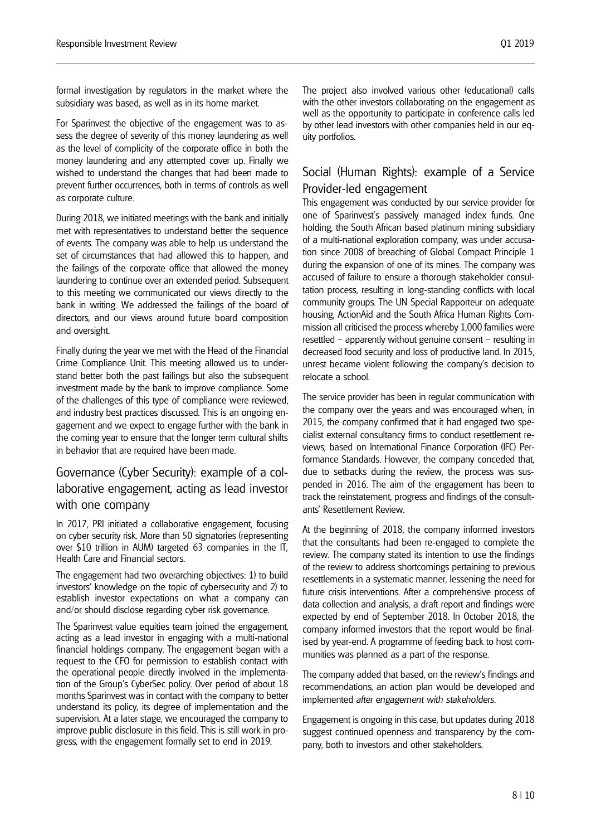formal investigation by regulators in the market where the subsidiary was based, as well as in its home market.

For Sparinvest the objective of the engagement was to assess the degree of severity of this money laundering as well as the level of complicity of the corporate office in both the money laundering and any attempted cover up. Finally we wished to understand the changes that had been made to prevent further occurrences, both in terms of controls as well as corporate culture.

During 2018, we initiated meetings with the bank and initially met with representatives to understand better the sequence of events. The company was able to help us understand the set of circumstances that had allowed this to happen, and the failings of the corporate office that allowed the money laundering to continue over an extended period. Subsequent to this meeting we communicated our views directly to the bank in writing. We addressed the failings of the board of directors, and our views around future board composition and oversight.

Finally during the year we met with the Head of the Financial Crime Compliance Unit. This meeting allowed us to understand better both the past failings but also the subsequent investment made by the bank to improve compliance. Some of the challenges of this type of compliance were reviewed, and industry best practices discussed. This is an ongoing engagement and we expect to engage further with the bank in the coming year to ensure that the longer term cultural shifts in behavior that are required have been made.

## Governance (Cyber Security): example of a collaborative engagement, acting as lead investor with one company

In 2017, PRI initiated a collaborative engagement, focusing on cyber security risk. More than 50 signatories (representing over \$10 trillion in AUM) targeted 63 companies in the IT, Health Care and Financial sectors.

The engagement had two overarching objectives: 1) to build investors' knowledge on the topic of cybersecurity and 2) to establish investor expectations on what a company can and/or should disclose regarding cyber risk governance.

The Sparinvest value equities team joined the engagement, acting as a lead investor in engaging with a multi-national financial holdings company. The engagement began with a request to the CFO for permission to establish contact with the operational people directly involved in the implementation of the Group's CyberSec policy. Over period of about 18 months Sparinvest was in contact with the company to better understand its policy, its degree of implementation and the supervision. At a later stage, we encouraged the company to improve public disclosure in this field. This is still work in progress, with the engagement formally set to end in 2019.

The project also involved various other (educational) calls with the other investors collaborating on the engagement as well as the opportunity to participate in conference calls led by other lead investors with other companies held in our equity portfolios.

#### Social (Human Rights): example of a Service Provider-led engagement

This engagement was conducted by our service provider for one of Sparinvest's passively managed index funds. One holding, the South African based platinum mining subsidiary of a multi-national exploration company, was under accusation since 2008 of breaching of Global Compact Principle 1 during the expansion of one of its mines. The company was accused of failure to ensure a thorough stakeholder consultation process, resulting in long-standing conflicts with local community groups. The UN Special Rapporteur on adequate housing, ActionAid and the South Africa Human Rights Commission all criticised the process whereby 1,000 families were resettled – apparently without genuine consent – resulting in decreased food security and loss of productive land. In 2015, unrest became violent following the company's decision to relocate a school.

The service provider has been in regular communication with the company over the years and was encouraged when, in 2015, the company confirmed that it had engaged two specialist external consultancy firms to conduct resettlement reviews, based on International Finance Corporation (IFC) Performance Standards. However, the company conceded that, due to setbacks during the review, the process was suspended in 2016. The aim of the engagement has been to track the reinstatement, progress and findings of the consultants' Resettlement Review.

At the beginning of 2018, the company informed investors that the consultants had been re-engaged to complete the review. The company stated its intention to use the findings of the review to address shortcomings pertaining to previous resettlements in a systematic manner, lessening the need for future crisis interventions. After a comprehensive process of data collection and analysis, a draft report and findings were expected by end of September 2018. In October 2018, the company informed investors that the report would be finalised by year-end. A programme of feeding back to host communities was planned as a part of the response.

The company added that based, on the review's findings and recommendations, an action plan would be developed and implemented *after engagement with stakeholders*.

Engagement is ongoing in this case, but updates during 2018 suggest continued openness and transparency by the company, both to investors and other stakeholders.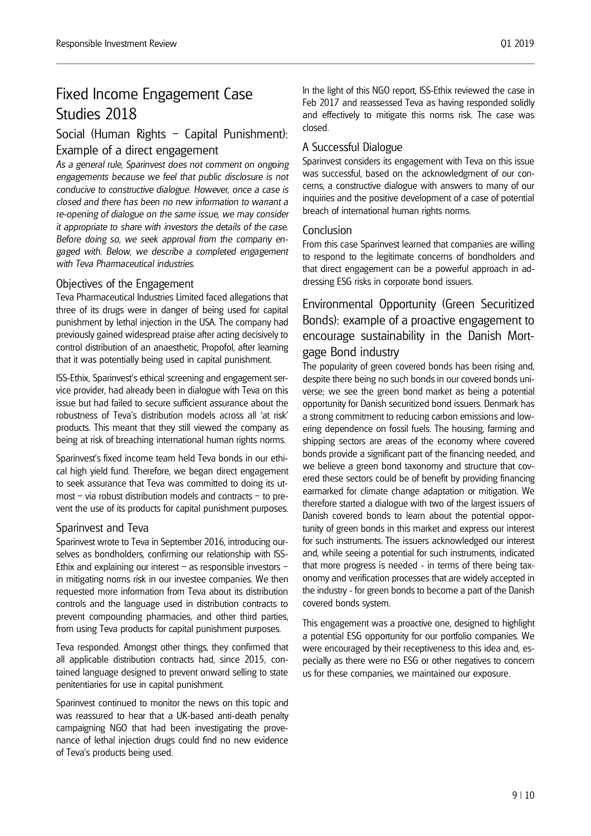## Studies 2018

## Social (Human Rights – Capital Punishment):

#### Example of a direct engagement

*As a general rule, Sparinvest does not comment on ongoing engagements because we feel that public disclosure is not conducive to constructive dialogue. However, once a case is closed and there has been no new information to warrant a re-opening of dialogue on the same issue, we may consider it appropriate to share with investors the details of the case. Before doing so, we seek approval from the company engaged with. Below, we describe a completed engagement with Teva Pharmaceutical industries.*

#### Objectives of the Engagement

Teva Pharmaceutical Industries Limited faced allegations that three of its drugs were in danger of being used for capital punishment by lethal injection in the USA. The company had previously gained widespread praise after acting decisively to control distribution of an anaesthetic, Propofol, after learning that it was potentially being used in capital punishment.

ISS-Ethix, Sparinvest's ethical screening and engagement service provider, had already been in dialogue with Teva on this issue but had failed to secure sufficient assurance about the robustness of Teva's distribution models across all 'at risk' products. This meant that they still viewed the company as being at risk of breaching international human rights norms.

Sparinvest's fixed income team held Teva bonds in our ethical high yield fund. Therefore, we began direct engagement to seek assurance that Teva was committed to doing its utmost – via robust distribution models and contracts – to prevent the use of its products for capital punishment purposes.

#### Sparinvest and Teva

Sparinvest wrote to Teva in September 2016, introducing ourselves as bondholders, confirming our relationship with ISS-Ethix and explaining our interest – as responsible investors – in mitigating norms risk in our investee companies. We then requested more information from Teva about its distribution controls and the language used in distribution contracts to prevent compounding pharmacies, and other third parties, from using Teva products for capital punishment purposes.

Teva responded. Amongst other things, they confirmed that all applicable distribution contracts had, since 2015, contained language designed to prevent onward selling to state penitentiaries for use in capital punishment.

Sparinvest continued to monitor the news on this topic and was reassured to hear that a UK-based anti-death penalty campaigning NGO that had been investigating the provenance of lethal injection drugs could find no new evidence of Teva's products being used.

In the light of this NGO report, ISS-Ethix reviewed the case in Feb 2017 and reassessed Teva as having responded solidly and effectively to mitigate this norms risk. The case was closed.

### A Successful Dialogue

Sparinvest considers its engagement with Teva on this issue was successful, based on the acknowledgment of our concerns, a constructive dialogue with answers to many of our inquiries and the positive development of a case of potential breach of international human rights norms.

#### Conclusion

From this case Sparinvest learned that companies are willing to respond to the legitimate concerns of bondholders and that direct engagement can be a powerful approach in addressing ESG risks in corporate bond issuers.

## Environmental Opportunity (Green Securitized Bonds): example of a proactive engagement to encourage sustainability in the Danish Mortgage Bond industry

The popularity of green covered bonds has been rising and, despite there being no such bonds in our covered bonds universe; we see the green bond market as being a potential opportunity for Danish securitized bond issuers. Denmark has a strong commitment to reducing carbon emissions and lowering dependence on fossil fuels. The housing, farming and shipping sectors are areas of the economy where covered bonds provide a significant part of the financing needed, and we believe a green bond taxonomy and structure that covered these sectors could be of benefit by providing financing earmarked for climate change adaptation or mitigation. We therefore started a dialogue with two of the largest issuers of Danish covered bonds to learn about the potential opportunity of green bonds in this market and express our interest for such instruments. The issuers acknowledged our interest and, while seeing a potential for such instruments, indicated that more progress is needed - in terms of there being taxonomy and verification processes that are widely accepted in the industry - for green bonds to become a part of the Danish covered bonds system.

This engagement was a proactive one, designed to highlight a potential ESG opportunity for our portfolio companies. We were encouraged by their receptiveness to this idea and, especially as there were no ESG or other negatives to concern us for these companies, we maintained our exposure.